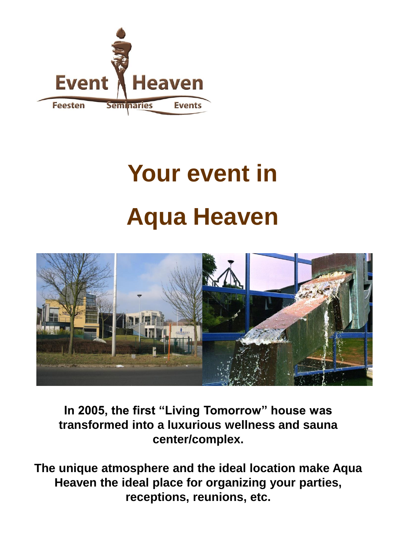

# **Your event in Aqua Heaven**



**In 2005, the first "Living Tomorrow" house was transformed into a luxurious wellness and sauna center/complex.** 

**The unique atmosphere and the ideal location make Aqua Heaven the ideal place for organizing your parties, receptions, reunions, etc.**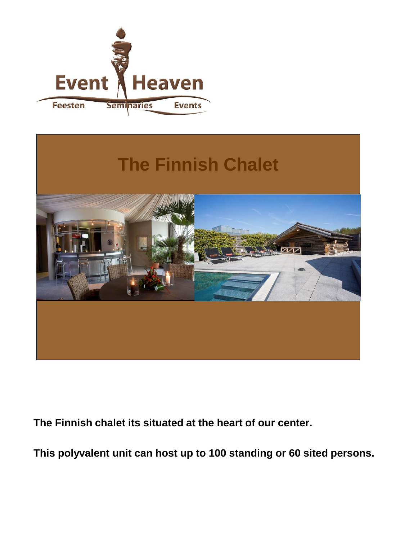

## **The Finnish Chalet**



**The Finnish chalet its situated at the heart of our center.** 

**This polyvalent unit can host up to 100 standing or 60 sited persons.**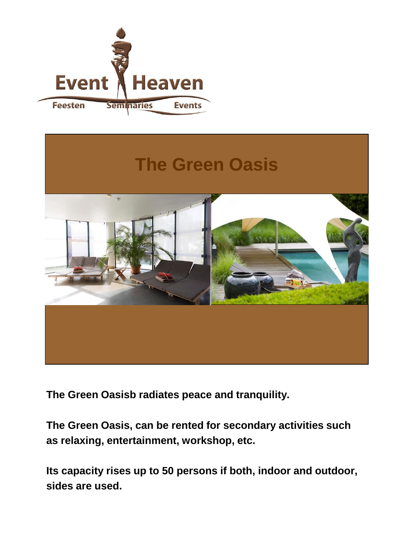



**The Green Oasisb radiates peace and tranquility.** 

**The Green Oasis, can be rented for secondary activities such as relaxing, entertainment, workshop, etc.**

**Its capacity rises up to 50 persons if both, indoor and outdoor, sides are used.**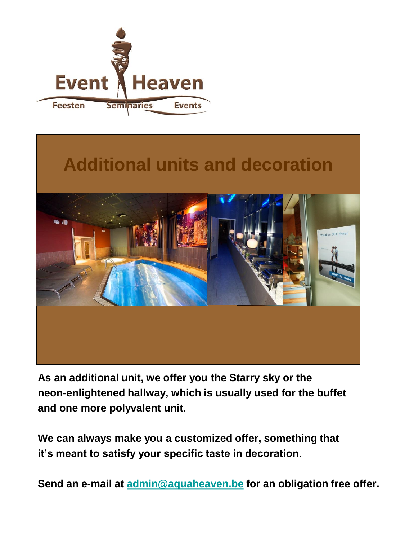

## **Additional units and decoration**



**As an additional unit, we offer you the Starry sky or the neon-enlightened hallway, which is usually used for the buffet and one more polyvalent unit.**

**We can always make you a customized offer, something that it's meant to satisfy your specific taste in decoration.**

**Send an e-mail at [admin@aquaheaven.be](mailto:admin@aquaheaven.be) for an obligation free offer.**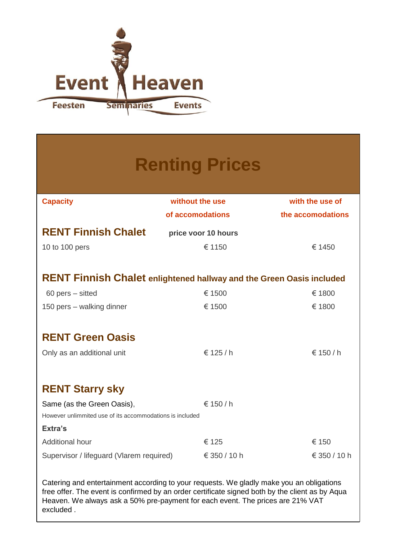

# **Renting Prices**

| <b>Capacity</b>                                                                          | without the use     | with the use of   |
|------------------------------------------------------------------------------------------|---------------------|-------------------|
|                                                                                          | of accomodations    | the accomodations |
| <b>RENT Finnish Chalet</b>                                                               | price voor 10 hours |                   |
|                                                                                          |                     |                   |
| 10 to 100 pers                                                                           | € 1150              | € 1450            |
|                                                                                          |                     |                   |
| <b>RENT Finnish Chalet enlightened hallway and the Green Oasis included</b>              |                     |                   |
| 60 pers - sitted                                                                         | € 1500              | € 1800            |
| 150 pers – walking dinner                                                                | € 1500              | € 1800            |
|                                                                                          |                     |                   |
| <b>RENT Green Oasis</b>                                                                  |                     |                   |
| Only as an additional unit                                                               | $\in$ 125 / h       | $\in$ 150 / h     |
|                                                                                          |                     |                   |
| <b>RENT Starry sky</b>                                                                   |                     |                   |
|                                                                                          |                     |                   |
| Same (as the Green Oasis),                                                               | € 150 / h           |                   |
| However unlimmited use of its accommodations is included                                 |                     |                   |
| Extra's                                                                                  |                     |                   |
| Additional hour                                                                          | € 125               | € 150             |
| Supervisor / lifeguard (Vlarem required)                                                 | € 350 / 10 h        | € 350 / 10 h      |
|                                                                                          |                     |                   |
| Catering and entertainment according to your requests. We gladly make you an obligations |                     |                   |

free offer. The event is confirmed by an order certificate signed both by the client as by Aqua Heaven. We always ask a 50% pre-payment for each event. The prices are 21% VAT excluded .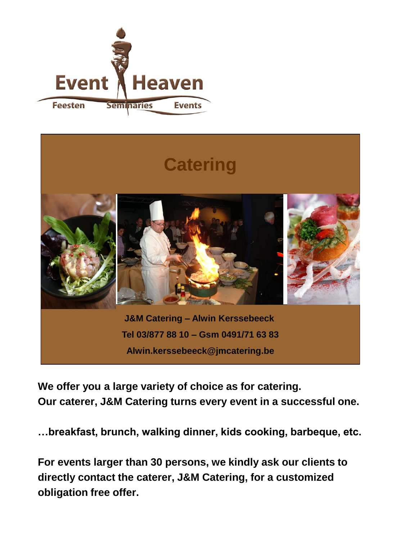

#### **Catering**



**J&M Catering – Alwin Kerssebeeck Tel 03/877 88 10 – Gsm 0491/71 63 83 Alwin.kerssebeeck@jmcatering.be**

**We offer you a large variety of choice as for catering. Our caterer, J&M Catering turns every event in a successful one.** 

**…breakfast, brunch, walking dinner, kids cooking, barbeque, etc.**

**For events larger than 30 persons, we kindly ask our clients to directly contact the caterer, J&M Catering, for a customized obligation free offer.**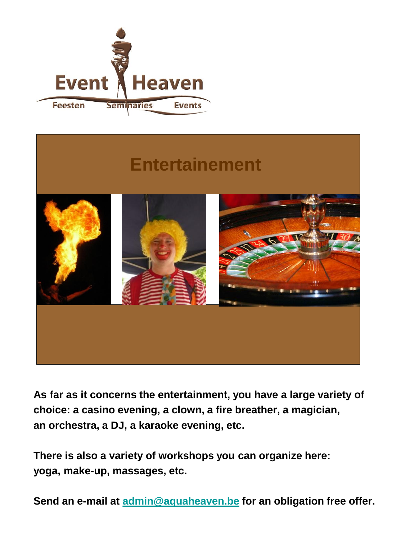

## **Entertainement**



**As far as it concerns the entertainment, you have a large variety of choice: a casino evening, a clown, a fire breather, a magician, an orchestra, a DJ, a karaoke evening, etc.**

**There is also a variety of workshops you can organize here: yoga, make-up, massages, etc.** 

**Send an e-mail at [admin@aquaheaven.be](mailto:admin@aquaheaven.be) for an obligation free offer.**